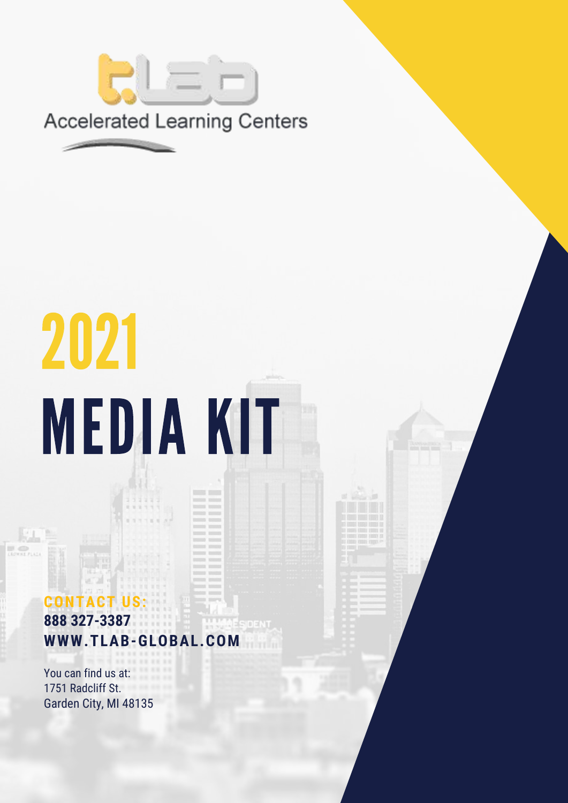

# 2021 MEDIA KIT

### **CT US: 888 327-3387** 10 F **WWW.TLAB-GLOBAL.COM**

You can find us at: 1751 Radcliff St. Garden City, MI 48135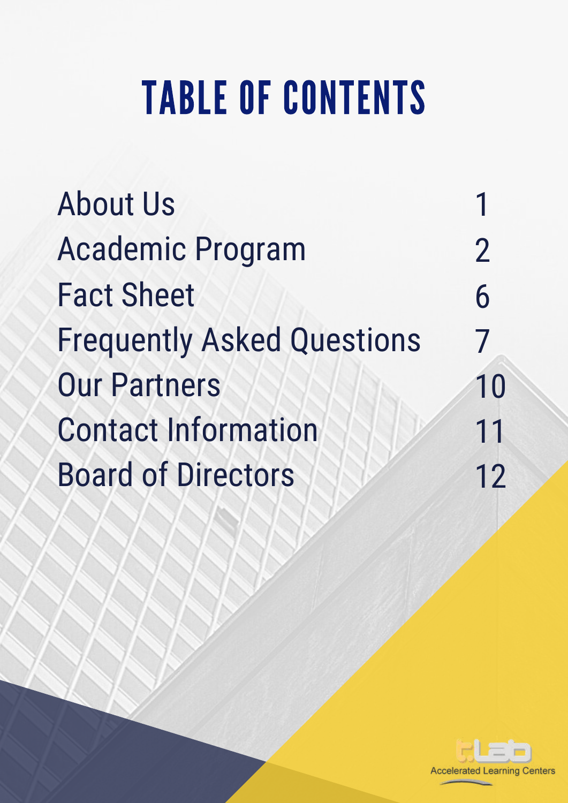## TABLE OF CONTENTS

About Us Academic Program Fact Sheet Frequently Asked Questions Our Partners Contact Information Board of Directors

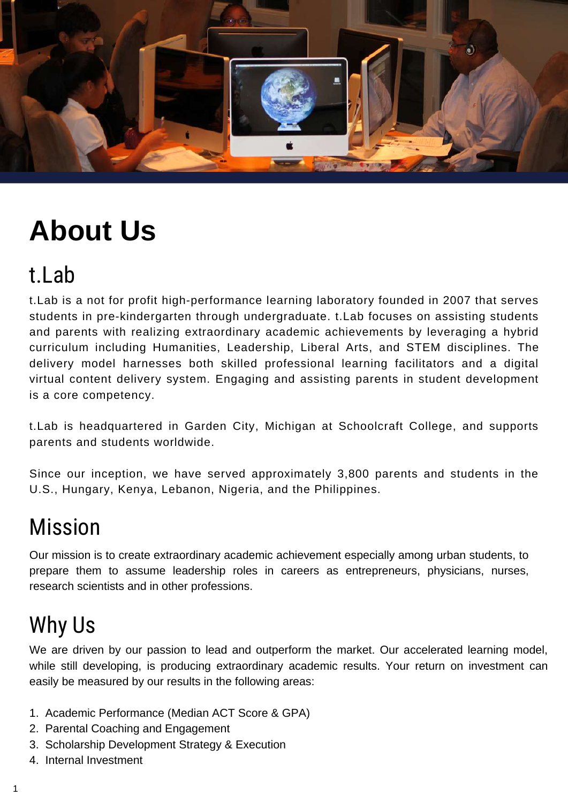

### **About Us**

### t.Lab

t.Lab is a not for profit high-performance learning laboratory founded in 2007 that serves students in pre-kindergarten through undergraduate. t.Lab focuses on assisting students and parents with realizing extraordinary academic achievements by leveraging a hybrid curriculum including Humanities, Leadership, Liberal Arts, and STEM disciplines. The delivery model harnesses both skilled professional learning facilitators and a digital virtual content delivery system. Engaging and assisting parents in student development is a core competency.

t.Lab is headquartered in Garden City, Michigan at Schoolcraft College, and supports parents and students worldwide.

Since our inception, we have served approximately 3,800 parents and students in the U.S., Hungary, Kenya, Lebanon, Nigeria, and the Philippines.

### Mission

Our mission is to create extraordinary academic achievement especially among urban students, to prepare them to assume leadership roles in careers as entrepreneurs, physicians, nurses, research scientists and in other professions.

### Why Us

We are driven by our passion to lead and outperform the market. Our accelerated learning model, while still developing, is producing extraordinary academic results. Your return on investment can easily be measured by our results in the following areas:

- 1. Academic Performance (Median ACT Score & GPA)
- 2. Parental Coaching and Engagement
- 3. Scholarship Development Strategy & Execution
- 4. Internal Investment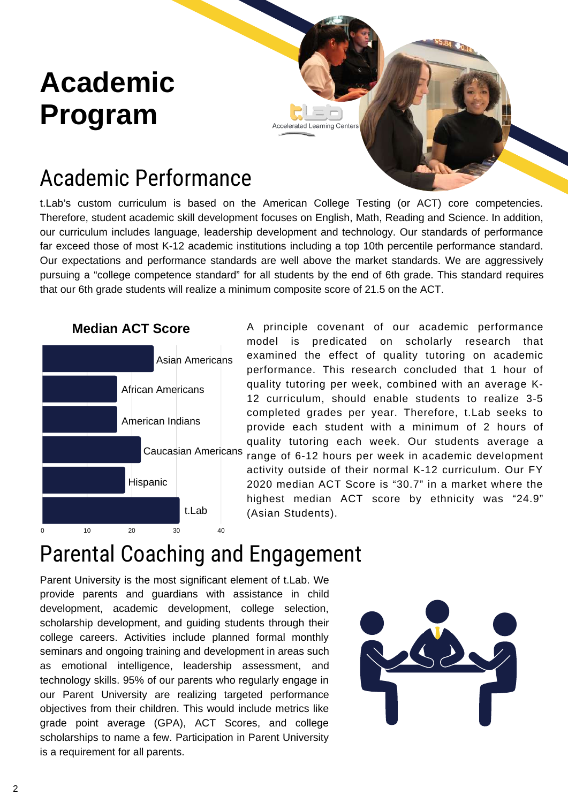### **Academic Program**

### Academic Performance

t.Lab's custom curriculum is based on the American College Testing (or ACT) core competencies. Therefore, student academic skill development focuses on English, Math, Reading and Science. In addition, our curriculum includes language, leadership development and technology. Our standards of performance far exceed those of most K-12 academic institutions including a top 10th percentile performance standard. Our expectations and performance standards are well above the market standards. We are aggressively pursuing a "college competence standard" for all students by the end of 6th grade. This standard requires that our 6th grade students will realize a minimum composite score of 21.5 on the ACT.

**Accelerated Learning Centers** 



A principle covenant of our academic performance model is predicated on scholarly research that examined the effect of quality tutoring on academic performance. This research concluded that 1 hour of quality tutoring per week, combined with an average K-12 curriculum, should enable students to realize 3-5 completed grades per year. Therefore, t.Lab seeks to provide each student with a minimum of 2 hours of quality tutoring each week. Our students average a Caucasian Americans range of 6-12 hours per week in academic development activity outside of their normal K-12 curriculum. Our FY 2020 median ACT Score is "30.7" in a market where the highest median ACT score by ethnicity was "24.9" (Asian Students).

### Parental Coaching and Engagement

Parent University is the most significant element of t.Lab. We provide parents and guardians with assistance in child development, academic development, college selection, scholarship development, and guiding students through their college careers. Activities include planned formal monthly seminars and ongoing training and development in areas such as emotional intelligence, leadership assessment, and technology skills. 95% of our parents who regularly engage in our Parent University are realizing targeted performance objectives from their children. This would include metrics like grade point average (GPA), ACT Scores, and college scholarships to name a few. Participation in Parent University is a requirement for all parents.

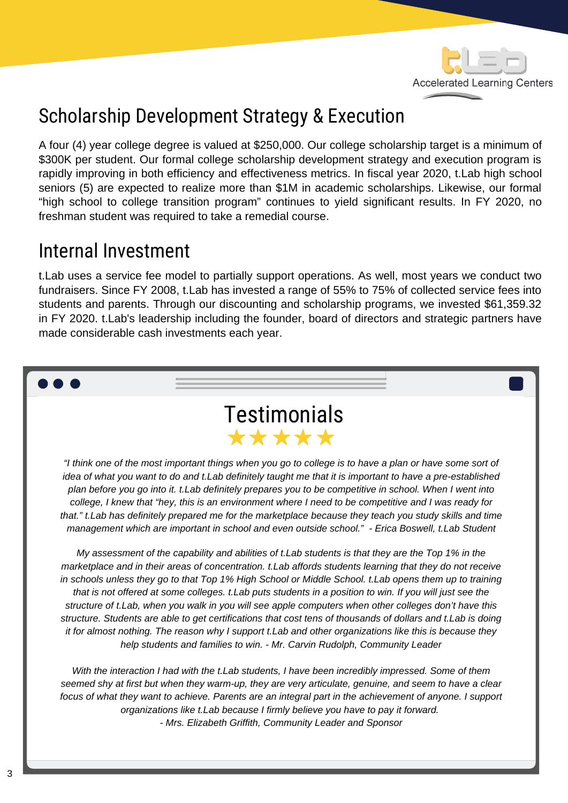

### Scholarship Development Strategy & Execution

A four (4) year college degree is valued at \$250,000. Our college scholarship target is a minimum of \$300K per student. Our formal college scholarship development strategy and execution program is rapidly improving in both efficiency and effectiveness metrics. In fiscal year 2020, t.Lab high school seniors (5) are expected to realize more than \$1M in academic scholarships. Likewise, our formal "high school to college transition program" continues to yield significant results. In FY 2020, no freshman student was required to take a remedial course.

### Internal Investment

t.Lab uses a service fee model to partially support operations. As well, most years we conduct two fundraisers. Since FY 2008, t.Lab has invested a range of 55% to 75% of collected service fees into students and parents. Through our discounting and scholarship programs, we invested \$61,359.32 in FY 2020. t.Lab's leadership including the founder, board of directors and strategic partners have made considerable cash investments each year.

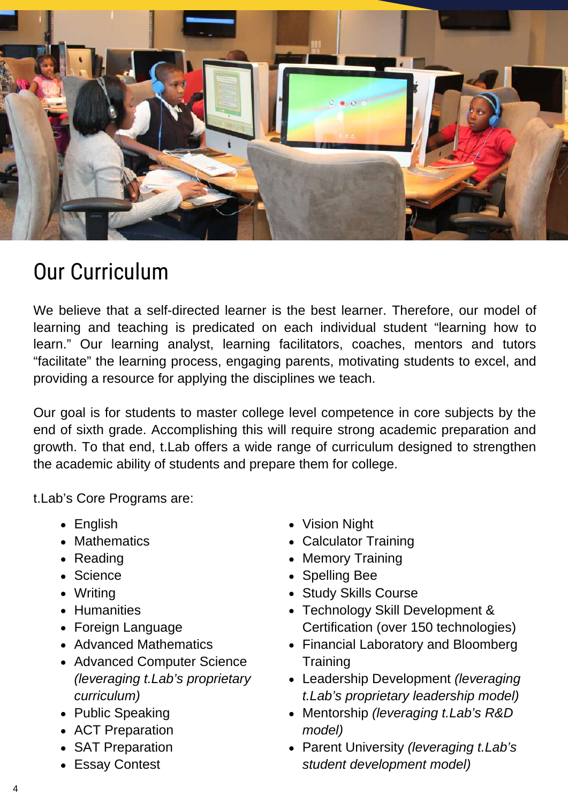

### Our Curriculum

We believe that a self-directed learner is the best learner. Therefore, our model of learning and teaching is predicated on each individual student "learning how to learn." Our learning analyst, learning facilitators, coaches, mentors and tutors "facilitate" the learning process, engaging parents, motivating students to excel, and providing a resource for applying the disciplines we teach.

Our goal is for students to master college level competence in core subjects by the end of sixth grade. Accomplishing this will require strong academic preparation and growth. To that end, t.Lab offers a wide range of curriculum designed to strengthen the academic ability of students and prepare them for college.

t.Lab's Core Programs are:

- English
- Mathematics
- Reading
- Science
- Writing
- Humanities
- Foreign Language
- Advanced Mathematics
- Advanced Computer Science *(leveraging t.Lab's proprietary curriculum)*
- Public Speaking
- ACT Preparation
- SAT Preparation
- Essay Contest
- Vision Night
- Calculator Training
- Memory Training
- Spelling Bee
- Study Skills Course
- Technology Skill Development & Certification (over 150 technologies)
- Financial Laboratory and Bloomberg **Training**
- Leadership Development *(leveraging t.Lab's proprietary leadership model)*
- Mentorship *(leveraging t.Lab's R&D model)*
- Parent University *(leveraging t.Lab's student development model)*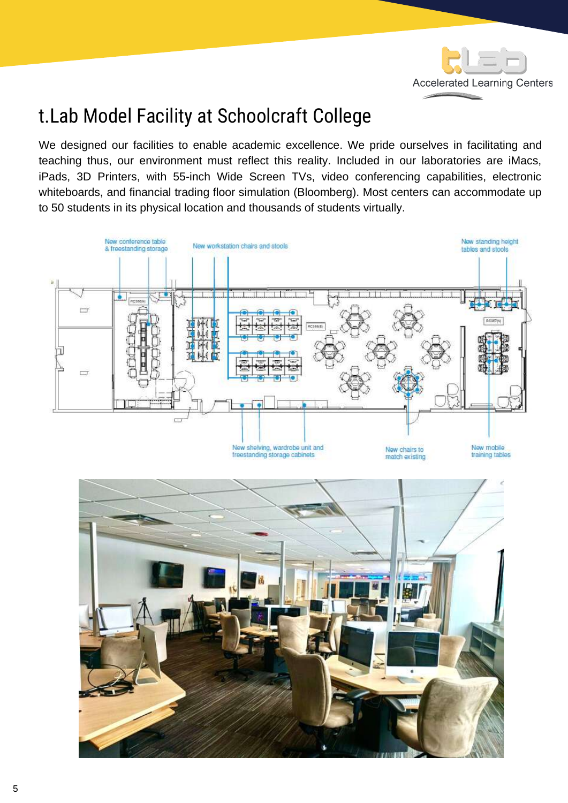

### t.Lab Model Facility at Schoolcraft College

We designed our facilities to enable academic excellence. We pride ourselves in facilitating and teaching thus, our environment must reflect this reality. Included in our laboratories are iMacs, iPads, 3D Printers, with 55-inch Wide Screen TVs, video conferencing capabilities, electronic whiteboards, and financial trading floor simulation (Bloomberg). Most centers can accommodate up to 50 students in its physical location and thousands of students virtually.

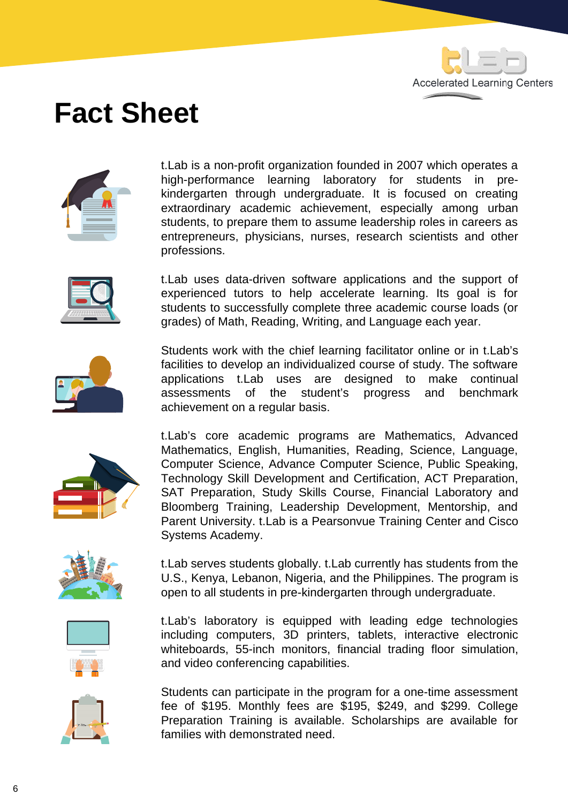

### **Fact Sheet**



t.Lab is a non-profit organization founded in 2007 which operates a high-performance learning laboratory for students in prekindergarten through undergraduate. It is focused on creating extraordinary academic achievement, especially among urban students, to prepare them to assume leadership roles in careers as entrepreneurs, physicians, nurses, research scientists and other professions.



t.Lab uses data-driven software applications and the support of experienced tutors to help accelerate learning. Its goal is for students to successfully complete three academic course loads (or grades) of Math, Reading, Writing, and Language each year.



Students work with the chief learning facilitator online or in t.Lab's facilities to develop an individualized course of study. The software applications t.Lab uses are designed to make continual assessments of the student's progress and benchmark achievement on a regular basis.



t.Lab's core academic programs are Mathematics, Advanced Mathematics, English, Humanities, Reading, Science, Language, Computer Science, Advance Computer Science, Public Speaking, Technology Skill Development and Certification, ACT Preparation, SAT Preparation, Study Skills Course, Financial Laboratory and Bloomberg Training, Leadership Development, Mentorship, and Parent University. t.Lab is a Pearsonvue Training Center and Cisco Systems Academy.



t.Lab serves students globally. t.Lab currently has students from the U.S., Kenya, Lebanon, Nigeria, and the Philippines. The program is open to all students in pre-kindergarten through undergraduate.



t.Lab's laboratory is equipped with leading edge technologies including computers, 3D printers, tablets, interactive electronic whiteboards, 55-inch monitors, financial trading floor simulation, and video conferencing capabilities.



Students can participate in the program for a one-time assessment fee of \$195. Monthly fees are \$195, \$249, and \$299. College Preparation Training is available. Scholarships are available for families with demonstrated need.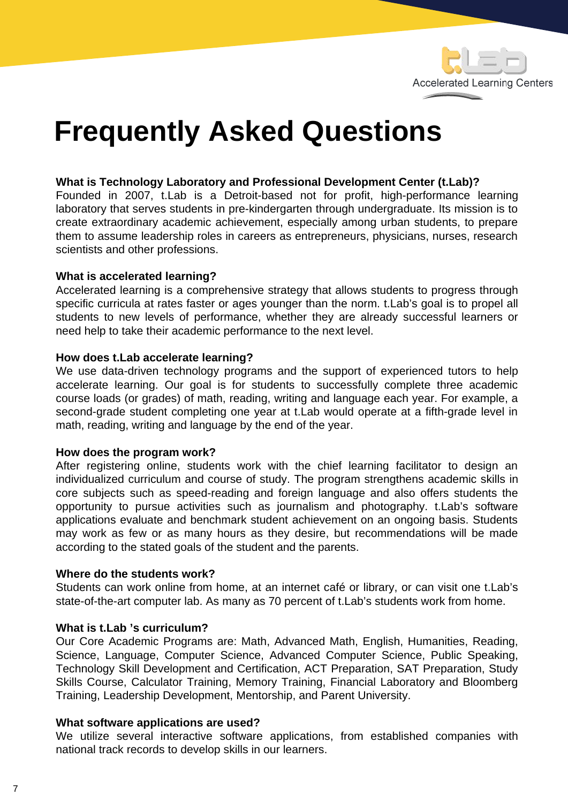

### **Frequently Asked Questions**

#### **What is Technology Laboratory and Professional Development Center (t.Lab)?**

Founded in 2007, t.Lab is a Detroit-based not for profit, high-performance learning laboratory that serves students in pre-kindergarten through undergraduate. Its mission is to create extraordinary academic achievement, especially among urban students, to prepare them to assume leadership roles in careers as entrepreneurs, physicians, nurses, research scientists and other professions.

#### **What is accelerated learning?**

Accelerated learning is a comprehensive strategy that allows students to progress through specific curricula at rates faster or ages younger than the norm. t.Lab's goal is to propel all students to new levels of performance, whether they are already successful learners or need help to take their academic performance to the next level.

#### **How does t.Lab accelerate learning?**

We use data-driven technology programs and the support of experienced tutors to help accelerate learning. Our goal is for students to successfully complete three academic course loads (or grades) of math, reading, writing and language each year. For example, a second-grade student completing one year at t.Lab would operate at a fifth-grade level in math, reading, writing and language by the end of the year.

#### **How does the program work?**

After registering online, students work with the chief learning facilitator to design an individualized curriculum and course of study. The program strengthens academic skills in core subjects such as speed-reading and foreign language and also offers students the opportunity to pursue activities such as journalism and photography. t.Lab's software applications evaluate and benchmark student achievement on an ongoing basis. Students may work as few or as many hours as they desire, but recommendations will be made according to the stated goals of the student and the parents.

#### **Where do the students work?**

Students can work online from home, at an internet café or library, or can visit one t.Lab's state-of-the-art computer lab. As many as 70 percent of t.Lab's students work from home.

#### **What is t.Lab 's curriculum?**

Our Core Academic Programs are: Math, Advanced Math, English, Humanities, Reading, Science, Language, Computer Science, Advanced Computer Science, Public Speaking, Technology Skill Development and Certification, ACT Preparation, SAT Preparation, Study Skills Course, Calculator Training, Memory Training, Financial Laboratory and Bloomberg Training, Leadership Development, Mentorship, and Parent University.

#### **What software applications are used?**

We utilize several interactive software applications, from established companies with national track records to develop skills in our learners.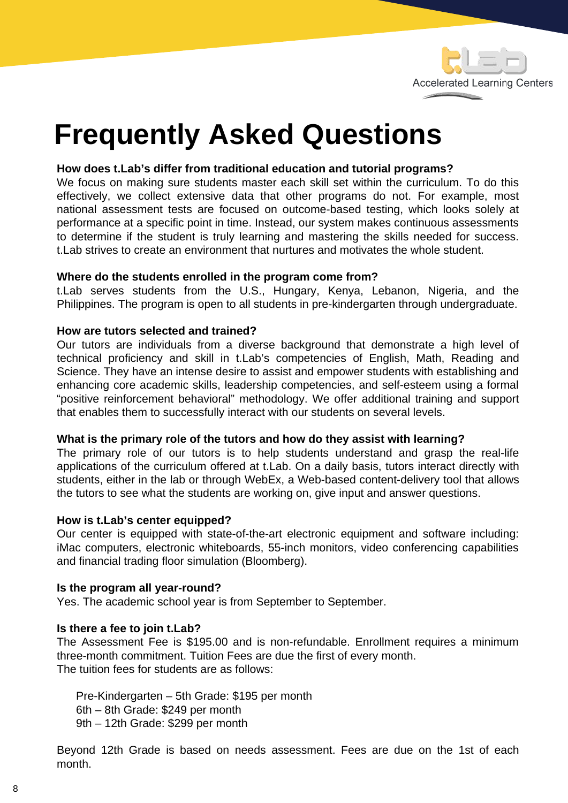

### **Frequently Asked Questions**

#### **How does t.Lab's differ from traditional education and tutorial programs?**

We focus on making sure students master each skill set within the curriculum. To do this effectively, we collect extensive data that other programs do not. For example, most national assessment tests are focused on outcome-based testing, which looks solely at performance at a specific point in time. Instead, our system makes continuous assessments to determine if the student is truly learning and mastering the skills needed for success. t.Lab strives to create an environment that nurtures and motivates the whole student.

#### **Where do the students enrolled in the program come from?**

t.Lab serves students from the U.S., Hungary, Kenya, Lebanon, Nigeria, and the Philippines. The program is open to all students in pre-kindergarten through undergraduate.

#### **How are tutors selected and trained?**

Our tutors are individuals from a diverse background that demonstrate a high level of technical proficiency and skill in t.Lab's competencies of English, Math, Reading and Science. They have an intense desire to assist and empower students with establishing and enhancing core academic skills, leadership competencies, and self-esteem using a formal "positive reinforcement behavioral" methodology. We offer additional training and support that enables them to successfully interact with our students on several levels.

#### **What is the primary role of the tutors and how do they assist with learning?**

The primary role of our tutors is to help students understand and grasp the real-life applications of the curriculum offered at t.Lab. On a daily basis, tutors interact directly with students, either in the lab or through WebEx, a Web-based content-delivery tool that allows the tutors to see what the students are working on, give input and answer questions.

#### **How is t.Lab's center equipped?**

Our center is equipped with state-of-the-art electronic equipment and software including: iMac computers, electronic whiteboards, 55-inch monitors, video conferencing capabilities and financial trading floor simulation (Bloomberg).

#### **Is the program all year-round?**

Yes. The academic school year is from September to September.

#### **Is there a fee to join t.Lab?**

The Assessment Fee is \$195.00 and is non-refundable. Enrollment requires a minimum three-month commitment. Tuition Fees are due the first of every month. The tuition fees for students are as follows:

Pre-Kindergarten – 5th Grade: \$195 per month 6th – 8th Grade: \$249 per month 9th – 12th Grade: \$299 per month

Beyond 12th Grade is based on needs assessment. Fees are due on the 1st of each month.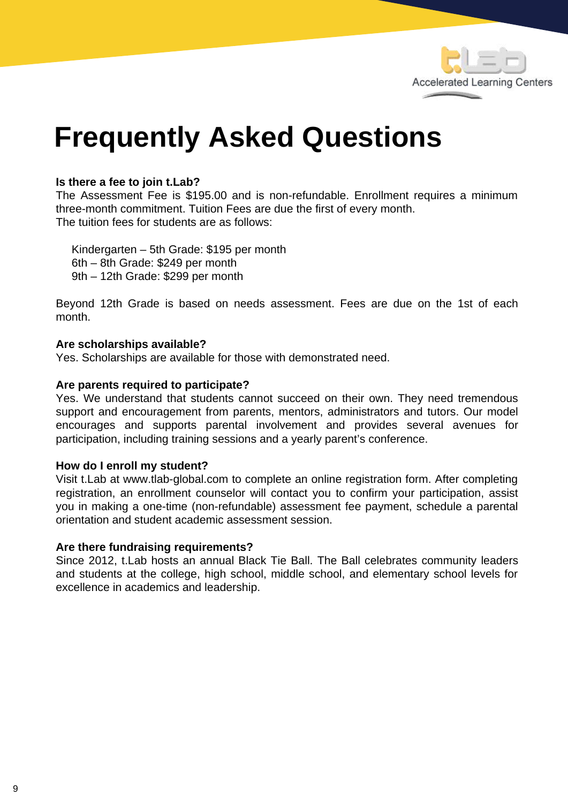

### **Frequently Asked Questions**

#### **Is there a fee to join t.Lab?**

The Assessment Fee is \$195.00 and is non-refundable. Enrollment requires a minimum three-month commitment. Tuition Fees are due the first of every month. The tuition fees for students are as follows:

 Kindergarten – 5th Grade: \$195 per month 6th – 8th Grade: \$249 per month 9th – 12th Grade: \$299 per month

Beyond 12th Grade is based on needs assessment. Fees are due on the 1st of each month.

#### **Are scholarships available?**

Yes. Scholarships are available for those with demonstrated need.

#### **Are parents required to participate?**

Yes. We understand that students cannot succeed on their own. They need tremendous support and encouragement from parents, mentors, administrators and tutors. Our model encourages and supports parental involvement and provides several avenues for participation, including training sessions and a yearly parent's conference.

#### **How do I enroll my student?**

Visit t.Lab at www.tlab-global.com to complete an online registration form. After completing registration, an enrollment counselor will contact you to confirm your participation, assist you in making a one-time (non-refundable) assessment fee payment, schedule a parental orientation and student academic assessment session.

#### **Are there fundraising requirements?**

Since 2012, t.Lab hosts an annual Black Tie Ball. The Ball celebrates community leaders and students at the college, high school, middle school, and elementary school levels for excellence in academics and leadership.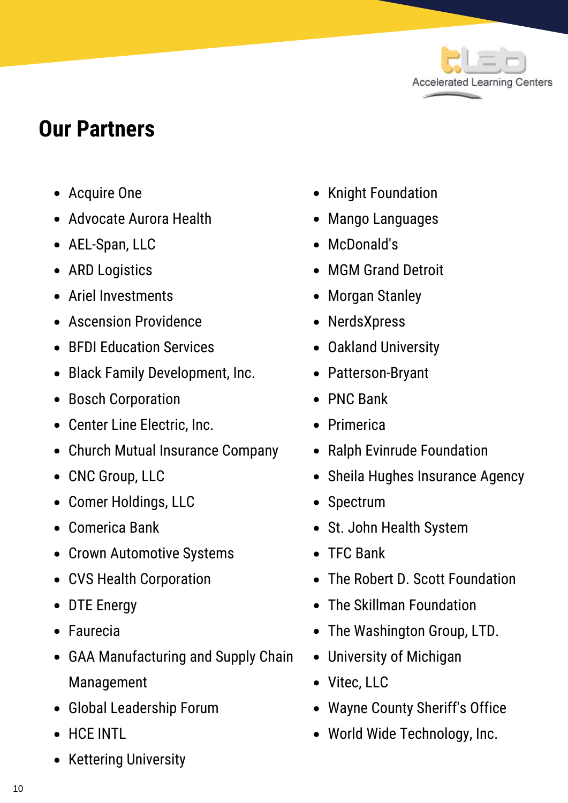

### **Our Partners**

- Acquire One
- Advocate Aurora Health
- AEL-Span, LLC
- ARD Logistics
- Ariel Investments
- Ascension Providence
- BFDI Education Services
- Black Family Development, Inc.
- Bosch Corporation
- Center Line Electric, Inc.
- Church Mutual Insurance Company
- CNC Group, LLC
- Comer Holdings, LLC
- Comerica Bank
- Crown Automotive Systems
- CVS Health Corporation
- DTE Energy
- Faurecia
- GAA Manufacturing and Supply Chain Management
- Global Leadership Forum
- HCE INTL
- Kettering University
- Knight Foundation
- Mango Languages
- McDonald's
- MGM Grand Detroit
- Morgan Stanley
- NerdsXpress
- Oakland University
- Patterson-Bryant
- PNC Bank
- Primerica
- Ralph Evinrude Foundation
- Sheila Hughes Insurance Agency
- Spectrum
- St. John Health System
- TFC Bank
- The Robert D. Scott Foundation
- The Skillman Foundation
- The Washington Group, LTD.
- University of Michigan
- Vitec, LLC
- Wayne County Sheriff's Office
- World Wide Technology, Inc.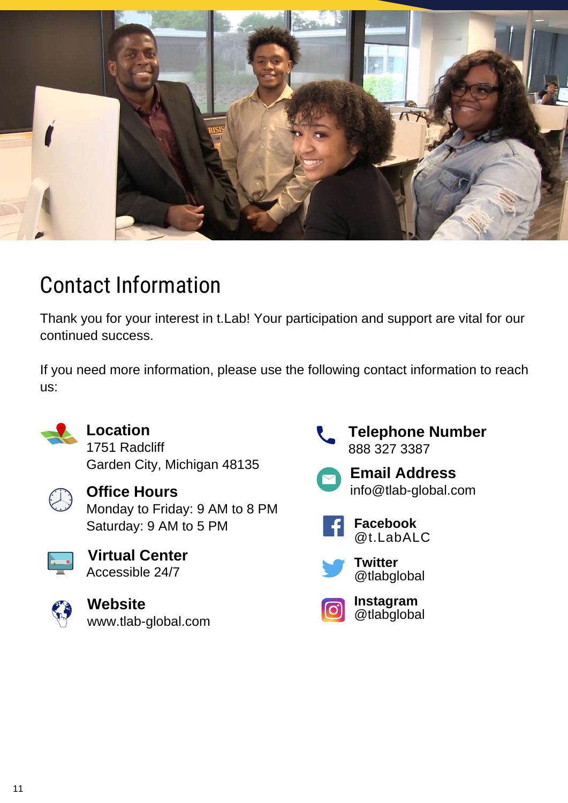

### Contact Information

Thank you for your interest in t.Lab! Your participation and support are vital for our continued success.

If you need more information, please use the following contact information to reach us:



### **Location**

1751 Radcliff Garden City, Michigan 48135



**Office Hours** Monday to Friday: 9 AM to 8 PM Saturday: 9 AM to 5 PM



**Virtual Center** Accessible 24/7



[www.tlab-global.com](http://www.tlab-global.com/) **Website**



888 327 3387 **Telephone Number**



info@tlab-global.com **Email Address**





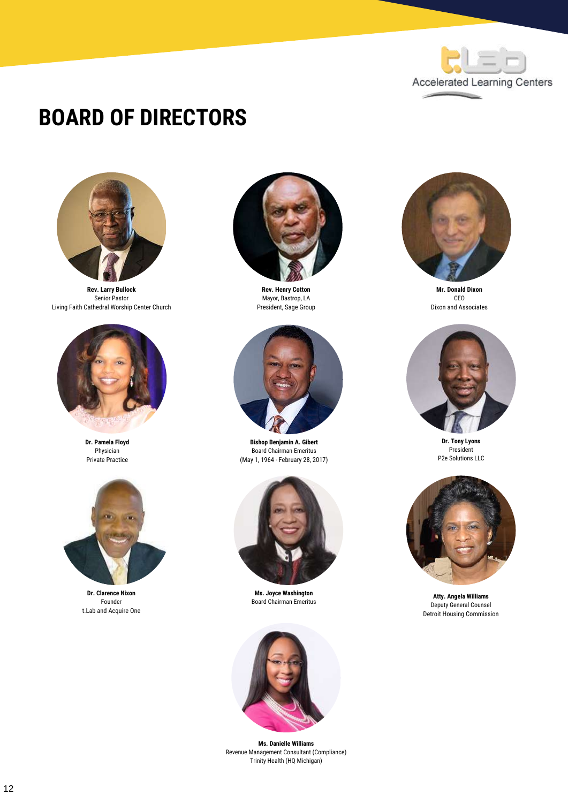

### **BOARD OF DIRECTORS**



**Rev. Larry Bullock** Senior Pastor Living Faith Cathedral Worship Center Church



**Dr. Pamela Floyd** Physician Private Practice



**Dr. Clarence Nixon** Founder t.Lab and Acquire One



**Rev. Henry Cotton** Mayor, Bastrop, LA President, Sage Group



**Bishop Benjamin A. Gibert** Board Chairman Emeritus (May 1, 1964 - February 28, 2017)



**Ms. Joyce Washington** Board Chairman Emeritus



**Ms. Danielle Williams** Revenue Management Consultant (Compliance) Trinity Health (HQ Michigan)



**Mr. Donald Dixon** CEO Dixon and Associates



**Dr. Tony Lyons** President P2e Solutions LLC



**Atty. Angela Williams** Deputy General Counsel Detroit Housing Commission